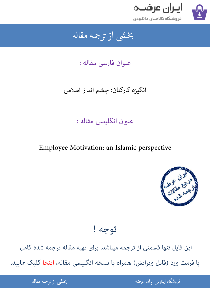

### بخشى از ترجمه مقاله شی از تر بخشی از :

عنوان فارسی مقاله :

# انگیزه کارکنان: چشم انداز اسلامی

# عنوان انگلیسی مقاله :

Employee Motivation: an Islamic perspective



توجه !

[این فایل تنها قسمتی از ترجمه میباشد. برای تهیه مقاله ترجمه شده کامل](http://iranarze.ir/employee+motivation+an+islamic+perspective)  با فرمت ورد (قابل ویرایش) همراه با نسخه انگلیسی مقاله، اینجا کلیک غایید.

> .<br>ه المواقع المواقع المواقع المواقع المواقع المواقع المواقع المواقع المواقع المواقع المواقع المواقع المواقع المو ֦֧֧֚֚֚֚֚֚֚֚֚֚֚֚֚֚֚֚֚֚֚֚֚֬֡֡֡֡֡֡֡֡֡֡֬֓֡֬֝֝֓֡ فروشگاه اینترنتی ایر

ان عرضه مقاله از ترجمه مقاله استخدام استخدام العامل العامل العامل العامل العامل العامل العامل العامل العامل ال